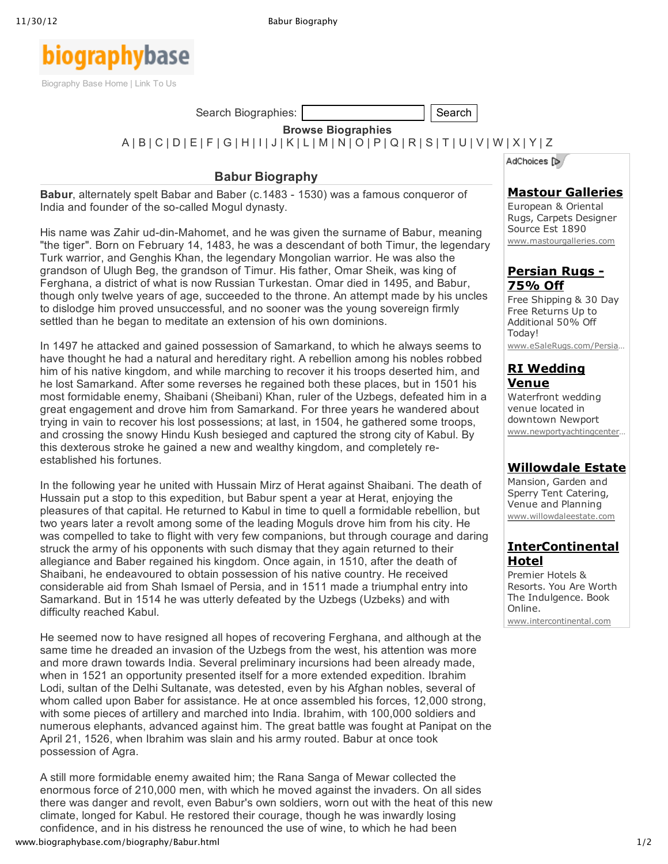

Search Biographies: Search Search Search Search Search Search Search Search Search

**Browse Biographies**

[A](http://www.biographybase.com/bio/a.html) | [B](http://www.biographybase.com/bio/b.html) | [C](http://www.biographybase.com/bio/c.html) | [D](http://www.biographybase.com/bio/d.html) | [E](http://www.biographybase.com/bio/e.html) | [F](http://www.biographybase.com/bio/f.html) | [G](http://www.biographybase.com/bio/g.html) | [H](http://www.biographybase.com/bio/h.html) | [I](http://www.biographybase.com/bio/i.html) | [J](http://www.biographybase.com/bio/j.html) | [K](http://www.biographybase.com/bio/k.html) | [L](http://www.biographybase.com/bio/l.html) | [M](http://www.biographybase.com/bio/m.html) | [N](http://www.biographybase.com/bio/n.html) | [O](http://www.biographybase.com/bio/o.html) | [P](http://www.biographybase.com/bio/p.html) | [Q](http://www.biographybase.com/bio/q.html) | [R](http://www.biographybase.com/bio/r.html) | [S](http://www.biographybase.com/bio/s.html) | [T](http://www.biographybase.com/bio/t.html) | [U](http://www.biographybase.com/bio/u.html) | [V](http://www.biographybase.com/bio/v.html) | [W](http://www.biographybase.com/bio/w.html) | [X](http://www.biographybase.com/bio/x.html) | [Y](http://www.biographybase.com/bio/y.html) | [Z](http://www.biographybase.com/bio/z.html)

# **Babur Biography**

**Babur**, alternately spelt Babar and Baber (c.1483 - 1530) was a famous conqueror of India and founder of the so-called Mogul dynasty.

His name was Zahir ud-din-Mahomet, and he was given the surname of Babur, meaning "the tiger". Born on February 14, 1483, he was a descendant of both Timur, the legendary Turk warrior, and Genghis Khan, the legendary Mongolian warrior. He was also the grandson of Ulugh Beg, the grandson of Timur. His father, Omar Sheik, was king of Ferghana, a district of what is now Russian Turkestan. Omar died in 1495, and Babur, though only twelve years of age, succeeded to the throne. An attempt made by his uncles to dislodge him proved unsuccessful, and no sooner was the young sovereign firmly settled than he began to meditate an extension of his own dominions.

In 1497 he attacked and gained possession of Samarkand, to which he always seems to have thought he had a natural and hereditary right. A rebellion among his nobles robbed him of his native kingdom, and while marching to recover it his troops deserted him, and he lost Samarkand. After some reverses he regained both these places, but in 1501 his most formidable enemy, Shaibani (Sheibani) Khan, ruler of the Uzbegs, defeated him in a great engagement and drove him from Samarkand. For three years he wandered about trying in vain to recover his lost possessions; at last, in 1504, he gathered some troops, and crossing the snowy Hindu Kush besieged and captured the strong city of Kabul. By this dexterous stroke he gained a new and wealthy kingdom, and completely reestablished his fortunes.

In the following year he united with Hussain Mirz of Herat against Shaibani. The death of Hussain put a stop to this expedition, but Babur spent a year at Herat, enjoying the pleasures of that capital. He returned to Kabul in time to quell a formidable rebellion, but two years later a revolt among some of the leading Moguls drove him from his city. He was compelled to take to flight with very few companions, but through courage and daring struck the army of his opponents with such dismay that they again returned to their allegiance and Baber regained his kingdom. Once again, in 1510, after the death of Shaibani, he endeavoured to obtain possession of his native country. He received considerable aid from Shah Ismael of Persia, and in 1511 made a triumphal entry into Samarkand. But in 1514 he was utterly defeated by the Uzbegs (Uzbeks) and with difficulty reached Kabul.

He seemed now to have resigned all hopes of recovering Ferghana, and although at the same time he dreaded an invasion of the Uzbegs from the west, his attention was more and more drawn towards India. Several preliminary incursions had been already made, when in 1521 an opportunity presented itself for a more extended expedition. Ibrahim Lodi, sultan of the Delhi Sultanate, was detested, even by his Afghan nobles, several of whom called upon Baber for assistance. He at once assembled his forces, 12,000 strong, with some pieces of artillery and marched into India. Ibrahim, with 100,000 soldiers and numerous elephants, advanced against him. The great battle was fought at Panipat on the April 21, 1526, when Ibrahim was slain and his army routed. Babur at once took possession of Agra.

www.biographybase.com/biography/Babur.html 1/2 A still more formidable enemy awaited him; the Rana Sanga of Mewar collected the enormous force of 210,000 men, with which he moved against the invaders. On all sides there was danger and revolt, even Babur's own soldiers, worn out with the heat of this new climate, longed for Kabul. He restored their courage, though he was inwardly losing confidence, and in his distress he renounced the use of wine, to which he had been

AdChoices [D/

#### **Mastour [Galleries](http://googleads.g.doubleclick.net/aclk?sa=L&ai=CDtfawzG5UP2hN8PP0AHfvID4BIy4lrsChJj0_DzAjbcBEAEgkK30ASgFUJKt_ND6_____wFgyYbtiISk7A_IAQGoAwHIA98EqgR7T9CDhmYpGqoqqQHdAX8ukOcIQBQoCEezQ8KKhHznHm-Yih-3Q4w-ZIm8aCrv5DmBvqLfLpwRyPnTlm3GarH28OPqhExMiolESIFvdTWL970iDU2N5VZpeprawWuxO0Lko8Q0B5m0l5JmR2XcYsz-rw-uqX3Nw9auw4hZ&num=1&sig=AOD64_2zGYB1zzh26-SG3hBaRanPSfWZvA&client=ca-pub-2600766726593506&adurl=http://www.mastourgalleries.com/g_oushak.html)**

European & Oriental Rugs, Carpets Designer Source Est 1890 www.mastourgalleries.com

#### **[Persian](http://www.googleadservices.com/pagead/aclk?sa=L&ai=CyQnnwzG5UP2hN8PP0AHfvID4BODritIC6I_S1T3AjbcBEAIgkK30ASgFUL2Sx_37_____wFgyYbtiISk7A-gAaDmpPkDyAEBqAMByAPfBKoEhQFP0MPRXikZqiqpAd0Bfy6Q5whAFCgIR7NDwoqEfOceb5iKH7dDjD5kibxoKu_kOYG-ot8unBHI-dOWbcZqsfbw4-qETEyKiURIgW91NYv3vSINTY3lVml6mtrBa7E7QuSjxFwGKX99U3SPkzdhff2D-QmOiM7TNqivmGWe9wkyer6eoFL2iAYB&num=2&cid=5GgPdU8gYbe_40r1kmeLgtyv&sig=AOD64_2m_N2-YQCIbnbXF6PDjtJ5t8psDw&client=ca-pub-2600766726593506&adurl=http://esalerugs.com%3Fmkwid%3DcGB6Kjz0V%26pcrid%3D16475366328%26pmt%3D%26kwd%3Drugs%2520persian) Rugs 75% Off**

Free Shipping & 30 Day Free Returns Up to Additional 50% Off Today! www.eSaleRugs.com/Persia…

# **RI [Wedding](http://www.googleadservices.com/pagead/aclk?sa=L&ai=CnGQKwzG5UP2hN8PP0AHfvID4BOekl-4Cz_Gmrj_AjbcBEAMgkK30ASgFUIal3d0EYMmG7YiEpOwPoAGhgq_9A8gBAagDAcgD3wSqBH9P0MOVSSkYqiqpAd0Bfy6Q5whAFCgIR7NDwoqEfOceb5iKH7dDjD5kibxoKu_kOYG-ot8unBHI-dOWbcZqsfbw4-qETEyKiURIgW91NYv3vSINTY3lVml6mtrBa7E7QuSjxFwGKV98IMGIk3tFOf1r-q1tiM7TNqh7jWAVEY8giAYB&num=3&cid=5GgPdU8gYbe_40r1kmeLgtyv&sig=AOD64_2nvLpLsXFIzZMB2L3Ngyl35N5aBg&client=ca-pub-2600766726593506&adurl=http://www.newportyachtingcenter.com/weddings/newport-ri-waterfront-weddings.htm) Venue**

Waterfront wedding venue located in downtown Newport www.newportyachtingcenter…

## **[Willowdale](http://www.googleadservices.com/pagead/aclk?sa=L&ai=CSbBKwzG5UP2hN8PP0AHfvID4BN_-8d0Ct_7_sjnAjbcBEAQgkK30ASgFUIj65Zz5_____wFgyYbtiISk7A-gAdXCle8DyAEBqAMByAPfBKoEfE_Q8_gkKR-qKqkB3QF_LpDnCEAUKAhHs0PCioR85x5vmIoft0OMPmSJvGgq7-Q5gb6i3y6cEcj505Ztxmqx9vDj6oRMTIqJREiBb3U1i_e9Ig1NjeVWaXqa2sFrsTtC5KPENAeZtJeSZkdl3GLM_q8Prql9zcPWrrL9jpGIBgE&num=4&cid=5GgPdU8gYbe_40r1kmeLgtyv&sig=AOD64_0lQNOM9lxa629xdfnUPYQQyUq1Pw&client=ca-pub-2600766726593506&adurl=http://www.willowdaleestate.com/mansion-Weddings.cfm) Estate**

Mansion, Garden and Sperry Tent Catering, Venue and Planning www.willowdaleestate.com

## **[InterContinental](http://www.googleadservices.com/pagead/aclk?sa=L&ai=CKcmTwzG5UP2hN8PP0AHfvID4BIai960CjvTcozO-ys2wlAEQBSCQrfQBKAVQqouz5fr_____AWDJhu2IhKTsD6ABkqqO9gPIAQGoAwHIA98EqgSIAU_Qk9hmKR6qKqkB3QF_LpDnCEAUKAhHs0PCioR85x5vmIoft0OMPmSJvGgq7-Q5gb6i3y6cEcj505Ztxmqx9vDj6oRMTIqJREiBb3U1i_e9Ig1NjeVWaXqa2sFrsTtC5KPEXAYpd32UCmI2N6ntFmhLrkF-afTDq2ttZloCCiKauF7Q1kY4vkqIBgE&num=5&cid=5GgPdU8gYbe_40r1kmeLgtyv&sig=AOD64_1BSiiD6T4j8P0KmTTOxyoBXNcvwg&client=ca-pub-2600766726593506&adurl=http://www.intercontinental.com/redirect%3Fdp%3Dtrue%26path%3Dhome%26brandCode%3Dic%26regionCode%3D1%26localeCode%3Den%26_PMID%3D99615832) Hotel**

Premier Hotels & Resorts. You Are Worth The Indulgence. Book Online. www.intercontinental.com